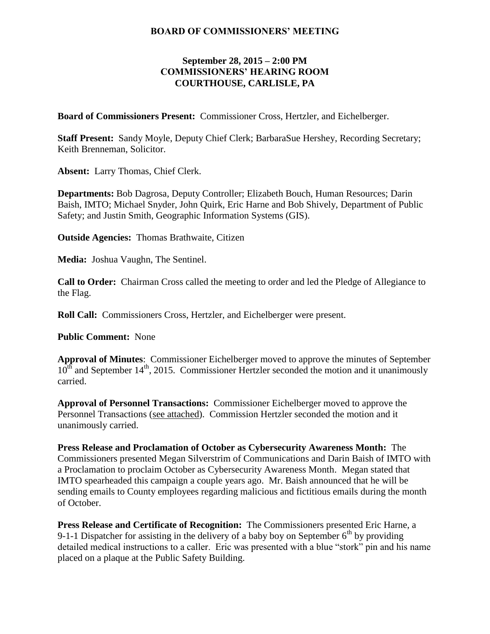## **BOARD OF COMMISSIONERS' MEETING**

## **September 28, 2015 – 2:00 PM COMMISSIONERS' HEARING ROOM COURTHOUSE, CARLISLE, PA**

**Board of Commissioners Present:** Commissioner Cross, Hertzler, and Eichelberger.

**Staff Present:** Sandy Moyle, Deputy Chief Clerk; BarbaraSue Hershey, Recording Secretary; Keith Brenneman, Solicitor.

**Absent:** Larry Thomas, Chief Clerk.

**Departments:** Bob Dagrosa, Deputy Controller; Elizabeth Bouch, Human Resources; Darin Baish, IMTO; Michael Snyder, John Quirk, Eric Harne and Bob Shively, Department of Public Safety; and Justin Smith, Geographic Information Systems (GIS).

**Outside Agencies:** Thomas Brathwaite, Citizen

**Media:** Joshua Vaughn, The Sentinel.

**Call to Order:** Chairman Cross called the meeting to order and led the Pledge of Allegiance to the Flag.

**Roll Call:** Commissioners Cross, Hertzler, and Eichelberger were present.

**Public Comment:** None

**Approval of Minutes**: Commissioner Eichelberger moved to approve the minutes of September  $10^{th}$  and September 14<sup>th</sup>, 2015. Commissioner Hertzler seconded the motion and it unanimously carried.

**Approval of Personnel Transactions:** Commissioner Eichelberger moved to approve the Personnel Transactions (see attached). Commission Hertzler seconded the motion and it unanimously carried.

**Press Release and Proclamation of October as Cybersecurity Awareness Month:** The Commissioners presented Megan Silverstrim of Communications and Darin Baish of IMTO with a Proclamation to proclaim October as Cybersecurity Awareness Month. Megan stated that IMTO spearheaded this campaign a couple years ago. Mr. Baish announced that he will be sending emails to County employees regarding malicious and fictitious emails during the month of October.

**Press Release and Certificate of Recognition:** The Commissioners presented Eric Harne, a 9-1-1 Dispatcher for assisting in the delivery of a baby boy on September  $6<sup>th</sup>$  by providing detailed medical instructions to a caller. Eric was presented with a blue "stork" pin and his name placed on a plaque at the Public Safety Building.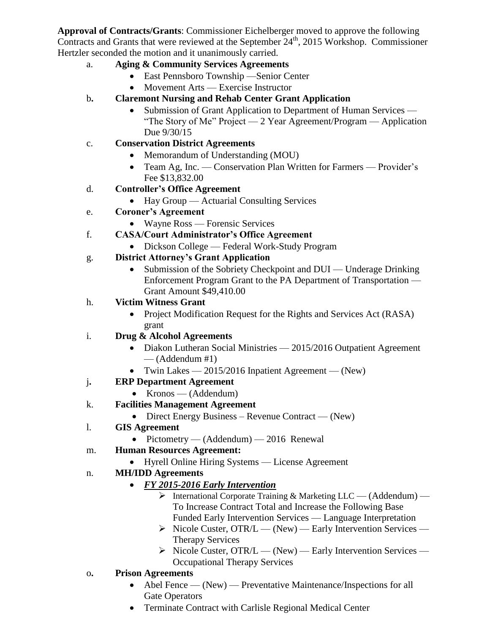**Approval of Contracts/Grants**: Commissioner Eichelberger moved to approve the following Contracts and Grants that were reviewed at the September  $24<sup>th</sup>$ , 2015 Workshop. Commissioner Hertzler seconded the motion and it unanimously carried.

- a. **Aging & Community Services Agreements**
	- East Pennsboro Township —Senior Center
	- Movement Arts Exercise Instructor
- b**. Claremont Nursing and Rehab Center Grant Application**
	- Submission of Grant Application to Department of Human Services "The Story of Me" Project — 2 Year Agreement/Program — Application Due 9/30/15
- c. **Conservation District Agreements**
	- Memorandum of Understanding (MOU)
	- Team Ag, Inc. Conservation Plan Written for Farmers Provider's Fee \$13,832.00
- d. **Controller's Office Agreement**
	- Hay Group Actuarial Consulting Services
- e. **Coroner's Agreement** 
	- Wayne Ross Forensic Services
- f. **CASA/Court Administrator's Office Agreement**
	- Dickson College Federal Work-Study Program
- g. **District Attorney's Grant Application**
	- Submission of the Sobriety Checkpoint and DUI Underage Drinking Enforcement Program Grant to the PA Department of Transportation — Grant Amount \$49,410.00
- h. **Victim Witness Grant** 
	- Project Modification Request for the Rights and Services Act (RASA) grant
- i. **Drug & Alcohol Agreements**
	- Diakon Lutheran Social Ministries 2015/2016 Outpatient Agreement  $-$  (Addendum #1)
	- Twin Lakes  $-2015/2016$  Inpatient Agreement  $-$  (New)
- j**. ERP Department Agreement**
	- $\bullet$  Kronos (Addendum)
- k. **Facilities Management Agreement**
	- Direct Energy Business Revenue Contract (New)
- l. **GIS Agreement**
	- Pictometry  $($ Addendum $)$  2016 Renewal
- m. **Human Resources Agreement:**
	- Hyrell Online Hiring Systems License Agreement
- n. **MH/IDD Agreements** 
	- *FY 2015-2016 Early Intervention* 
		- $\triangleright$  International Corporate Training & Marketing LLC (Addendum) To Increase Contract Total and Increase the Following Base Funded Early Intervention Services — Language Interpretation
		- $\triangleright$  Nicole Custer, OTR/L (New) Early Intervention Services Therapy Services
		- $\triangleright$  Nicole Custer, OTR/L (New) Early Intervention Services Occupational Therapy Services
- o**. Prison Agreements** 
	- Abel Fence (New) Preventative Maintenance/Inspections for all Gate Operators
	- Terminate Contract with Carlisle Regional Medical Center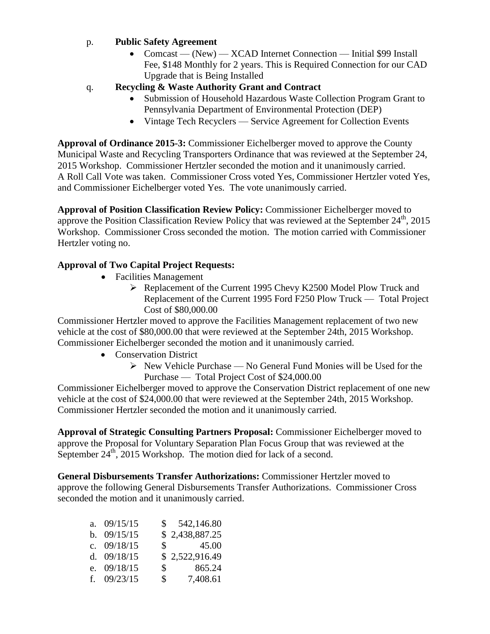## p. **Public Safety Agreement**

- Comcast (New) XCAD Internet Connection Initial \$99 Install Fee, \$148 Monthly for 2 years. This is Required Connection for our CAD Upgrade that is Being Installed
- q. **Recycling & Waste Authority Grant and Contract**
	- Submission of Household Hazardous Waste Collection Program Grant to Pennsylvania Department of Environmental Protection (DEP)
	- Vintage Tech Recyclers Service Agreement for Collection Events

**Approval of Ordinance 2015-3:** Commissioner Eichelberger moved to approve the County Municipal Waste and Recycling Transporters Ordinance that was reviewed at the September 24, 2015 Workshop. Commissioner Hertzler seconded the motion and it unanimously carried. A Roll Call Vote was taken. Commissioner Cross voted Yes, Commissioner Hertzler voted Yes, and Commissioner Eichelberger voted Yes. The vote unanimously carried.

**Approval of Position Classification Review Policy:** Commissioner Eichelberger moved to approve the Position Classification Review Policy that was reviewed at the September  $24<sup>th</sup>$ , 2015 Workshop. Commissioner Cross seconded the motion. The motion carried with Commissioner Hertzler voting no.

## **Approval of Two Capital Project Requests:**

- Facilities Management
	- Replacement of the Current 1995 Chevy K2500 Model Plow Truck and Replacement of the Current 1995 Ford F250 Plow Truck — Total Project Cost of \$80,000.00

Commissioner Hertzler moved to approve the Facilities Management replacement of two new vehicle at the cost of \$80,000.00 that were reviewed at the September 24th, 2015 Workshop. Commissioner Eichelberger seconded the motion and it unanimously carried.

- Conservation District
	- $\triangleright$  New Vehicle Purchase No General Fund Monies will be Used for the Purchase — Total Project Cost of \$24,000.00

Commissioner Eichelberger moved to approve the Conservation District replacement of one new vehicle at the cost of \$24,000.00 that were reviewed at the September 24th, 2015 Workshop. Commissioner Hertzler seconded the motion and it unanimously carried.

**Approval of Strategic Consulting Partners Proposal:** Commissioner Eichelberger moved to approve the Proposal for Voluntary Separation Plan Focus Group that was reviewed at the September  $24^{th}$ , 2015 Workshop. The motion died for lack of a second.

**General Disbursements Transfer Authorizations:** Commissioner Hertzler moved to approve the following General Disbursements Transfer Authorizations. Commissioner Cross seconded the motion and it unanimously carried.

| a. $09/15/15$ | S. | 542,146.80               |
|---------------|----|--------------------------|
| b. $09/15/15$ |    | \$2,438,887.25           |
| c. $09/18/15$ |    | $\$\,$ 45.00             |
| d. $09/18/15$ |    | \$2,522,916.49           |
| e. 09/18/15   |    | 865.24<br>$\mathbb{S}$   |
| f. $09/23/15$ |    | 7,408.61<br>$\mathbb{S}$ |